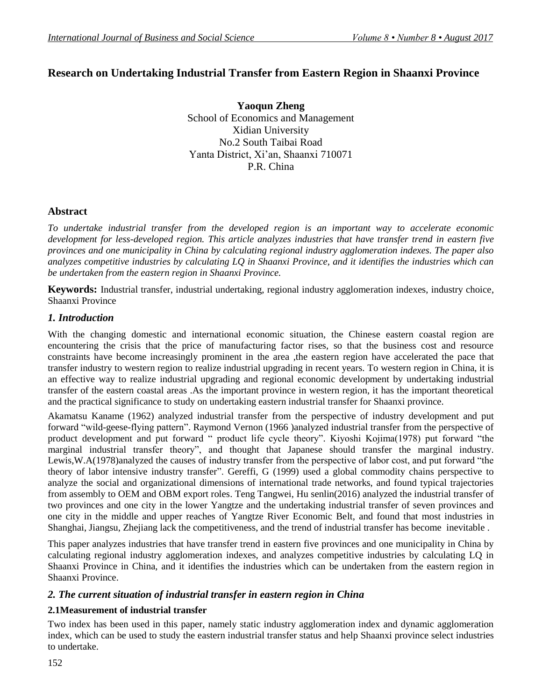# **Research on Undertaking Industrial Transfer from Eastern Region in Shaanxi Province**

**Yaoqun Zheng** School of Economics and Management Xidian University No.2 South Taibai Road Yanta District, Xi'an, Shaanxi 710071 P.R. China

### **Abstract**

*To undertake industrial transfer from the developed region is an important way to accelerate economic development for less-developed region. This article analyzes industries that have transfer trend in eastern five provinces and one municipality in China by calculating regional industry agglomeration indexes. The paper also analyzes competitive industries by calculating LQ in Shaanxi Province, and it identifies the industries which can be undertaken from the eastern region in Shaanxi Province.*

**Keywords:** Industrial transfer, industrial undertaking, regional industry agglomeration indexes, industry choice, Shaanxi Province

#### *1. Introduction*

With the changing domestic and international economic situation, the Chinese eastern coastal region are encountering the crisis that the price of manufacturing factor rises, so that the business cost and resource constraints have become increasingly prominent in the area ,the eastern region have accelerated the pace that transfer industry to western region to realize industrial upgrading in recent years. To western region in China, it is an effective way to realize industrial upgrading and regional economic development by undertaking industrial transfer of the eastern coastal areas .As the important province in western region, it has the important theoretical and the practical significance to study on undertaking eastern industrial transfer for Shaanxi province.

Akamatsu Kaname (1962) analyzed industrial transfer from the perspective of industry development and put forward "wild-geese-flying pattern". Raymond Vernon (1966 )analyzed industrial transfer from the perspective of product development and put forward " product life cycle theory". Kiyoshi Kojima(1978) put forward "the marginal industrial transfer theory", and thought that Japanese should transfer the marginal industry. Lewis,W.A(1978)analyzed the causes of industry transfer from the perspective of labor cost, and put forward "the theory of labor intensive industry transfer". Gereffi, G (1999) used a global commodity chains perspective to analyze the social and organizational dimensions of international trade networks, and found typical trajectories from assembly to OEM and OBM export roles. Teng Tangwei, Hu senlin(2016) analyzed the industrial transfer of two provinces and one city in the lower Yangtze and the undertaking industrial transfer of seven provinces and one city in the middle and upper reaches of Yangtze River Economic Belt, and found that most industries in Shanghai, Jiangsu, Zhejiang lack the competitiveness, and the trend of industrial transfer has become inevitable .

This paper analyzes industries that have transfer trend in eastern five provinces and one municipality in China by calculating regional industry agglomeration indexes, and analyzes competitive industries by calculating LQ in Shaanxi Province in China, and it identifies the industries which can be undertaken from the eastern region in Shaanxi Province.

#### *2. The current situation of industrial transfer in eastern region in China*

#### **2.1Measurement of industrial transfer**

Two index has been used in this paper, namely static industry agglomeration index and dynamic agglomeration index, which can be used to study the eastern industrial transfer status and help Shaanxi province select industries to undertake.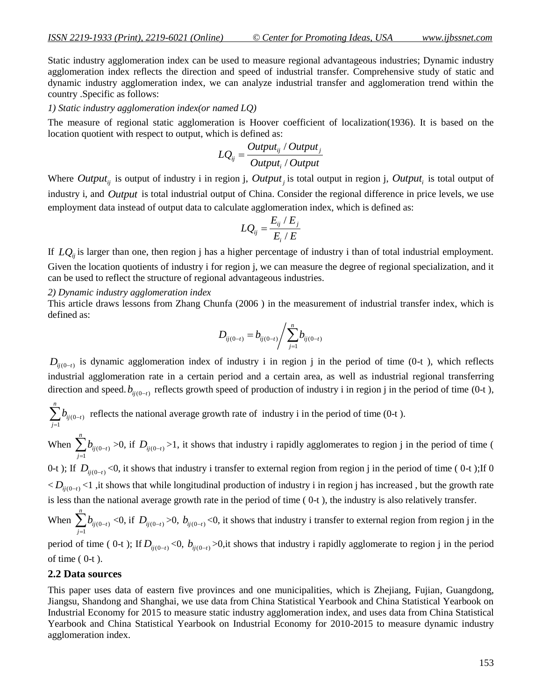Static industry agglomeration index can be used to measure regional advantageous industries; Dynamic industry agglomeration index reflects the direction and speed of industrial transfer. Comprehensive study of static and dynamic industry agglomeration index, we can analyze industrial transfer and agglomeration trend within the country .Specific as follows:

#### *1) Static industry agglomeration index(or named LQ)*

The measure of regional static agglomeration is Hoover coefficient of localization(1936). It is based on the location quotient with respect to output, which is defined as:

$$
LQ_{ij} = \frac{Output_{ij} / Output_j}{Output_i / Output}
$$

Where  $Output_{ij}$  is output of industry i in region j,  $Output_{j}$  is total output in region j,  $Output_{i}$  is total output of industry i, and *Output* is total industrial output of China. Consider the regional difference in price levels, we use employment data instead of output data to calculate agglomeration index, which is defined as:

$$
LQ_{ij} = \frac{E_{ij} / E_j}{E_i / E}
$$

If  $LQ_{ij}$  is larger than one, then region j has a higher percentage of industry i than of total industrial employment.

Given the location quotients of industry i for region j, we can measure the degree of regional specialization, and it can be used to reflect the structure of regional advantageous industries.

#### *2) Dynamic industry agglomeration index*

This article draws lessons from Zhang Chunfa (2006 ) in the measurement of industrial transfer index, which is defined as:

$$
D_{ij(0-t)} = b_{ij(0-t)} / \sum_{j=1}^{n} b_{ij(0-t)}
$$

 $D_{ij(0-t)}$  is dynamic agglomeration index of industry i in region j in the period of time (0-t), which reflects industrial agglomeration rate in a certain period and a certain area, as well as industrial regional transferring direction and speed.  $b_{ij(0-t)}$  reflects growth speed of production of industry i in region j in the period of time (0-t),

$$
\sum_{j=1}^{n} b_{ij(0-t)}
$$
 reflects the national average growth rate of industry i in the period of time (0-t).

When  $\sum_{ij(0-t)} b_{ij(0-t)}$ 1 *ij* (0-t *j*  $b_{ij(0-)}$  $\sum_{j=1}^{n} b_{ij(0-t)} > 0$ , if  $D_{ij(0-t)} > 1$ , it shows that industry i rapidly agglomerates to region j in the period of time (

0-t ); If  $D_{ij(0-t)}$  <0, it shows that industry i transfer to external region from region j in the period of time (0-t); If 0  $CD_{ij(0-t)}$ <1 ,it shows that while longitudinal production of industry i in region j has increased, but the growth rate is less than the national average growth rate in the period of time ( 0-t ), the industry is also relatively transfer.

When  $\sum_{ij(0-t)} b_{ij(0-t)}$ 1 *n ij* (0-t *j*  $b_{ij(0-)}$  $\sum_{j=1}^{n} b_{ij(0-t)} < 0$ , if  $D_{ij(0-t)} > 0$ ,  $b_{ij(0-t)} < 0$ , it shows that industry i transfer to external region from region j in the

period of time (0-t); If  $D_{ij(0-t)} < 0$ ,  $b_{ij(0-t)} > 0$ , it shows that industry i rapidly agglomerate to region j in the period of time  $(0-t)$ .

#### **2.2 Data sources**

This paper uses data of eastern five provinces and one municipalities, which is Zhejiang, Fujian, Guangdong, Jiangsu, Shandong and Shanghai, we use data from China Statistical Yearbook and China Statistical Yearbook on Industrial Economy for 2015 to measure static industry agglomeration index, and uses data from China Statistical Yearbook and China Statistical Yearbook on Industrial Economy for 2010-2015 to measure dynamic industry agglomeration index.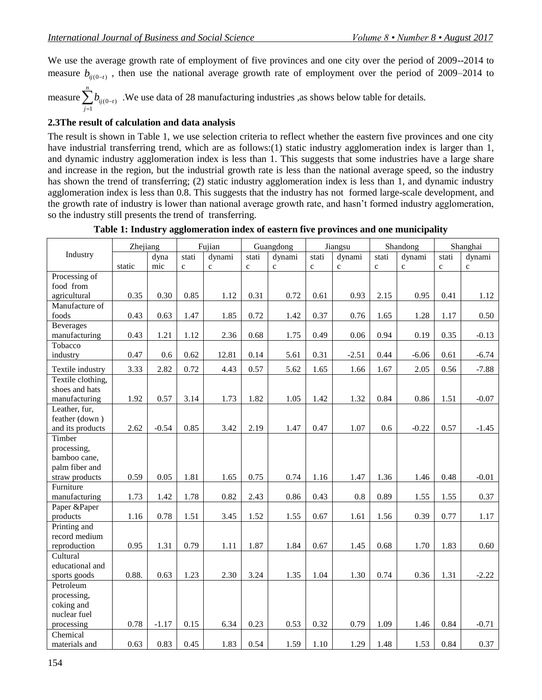We use the average growth rate of employment of five provinces and one city over the period of 2009--2014 to measure  $b_{ij(0-t)}$ , then use the national average growth rate of employment over the period of 2009–2014 to

measure  $\sum b_{ij(0-t)}$ 1 *n ij* (0-t *j*  $b_{ij(0-)}$  $\sum_{j=1}^{n} b_{ij(0-t)}$ . We use data of 28 manufacturing industries , as shows below table for details.

#### **2.3The result of calculation and data analysis**

The result is shown in Table 1, we use selection criteria to reflect whether the eastern five provinces and one city have industrial transferring trend, which are as follows: (1) static industry agglomeration index is larger than 1, and dynamic industry agglomeration index is less than 1. This suggests that some industries have a large share and increase in the region, but the industrial growth rate is less than the national average speed, so the industry has shown the trend of transferring; (2) static industry agglomeration index is less than 1, and dynamic industry agglomeration index is less than 0.8. This suggests that the industry has not formed large-scale development, and the growth rate of industry is lower than national average growth rate, and hasn't formed industry agglomeration, so the industry still presents the trend of transferring.

|                                | Zhejiang |         |             | Fujian       |             | Guangdong   |             | Jiangsu     |             | Shandong    |             | Shanghai    |
|--------------------------------|----------|---------|-------------|--------------|-------------|-------------|-------------|-------------|-------------|-------------|-------------|-------------|
| Industry                       |          | dyna    | stati       | dynami       | stati       | dynami      | stati       | dynami      | stati       | dynami      | stati       | dynami      |
|                                | static   | mic     | $\mathbf c$ | $\mathbf{c}$ | $\mathbf c$ | $\mathbf c$ | $\mathbf c$ | $\mathbf c$ | $\mathbf c$ | $\mathbf c$ | $\mathbf c$ | $\mathbf c$ |
| Processing of<br>food from     |          |         |             |              |             |             |             |             |             |             |             |             |
| agricultural                   | 0.35     | 0.30    | 0.85        | 1.12         | 0.31        | 0.72        | 0.61        | 0.93        | 2.15        | 0.95        | 0.41        | 1.12        |
| Manufacture of                 |          |         |             |              |             |             |             |             |             |             |             |             |
| foods                          | 0.43     | 0.63    | 1.47        | 1.85         | 0.72        | 1.42        | 0.37        | 0.76        | 1.65        | 1.28        | 1.17        | 0.50        |
| <b>Beverages</b>               |          |         |             |              |             |             |             |             |             |             |             |             |
| manufacturing                  | 0.43     | 1.21    | 1.12        | 2.36         | 0.68        | 1.75        | 0.49        | 0.06        | 0.94        | 0.19        | 0.35        | $-0.13$     |
| Tobacco                        |          |         |             |              |             |             |             |             |             |             |             |             |
| industry                       | 0.47     | 0.6     | 0.62        | 12.81        | 0.14        | 5.61        | 0.31        | $-2.51$     | 0.44        | $-6.06$     | 0.61        | $-6.74$     |
| Textile industry               | 3.33     | 2.82    | 0.72        | 4.43         | 0.57        | 5.62        | 1.65        | 1.66        | 1.67        | 2.05        | 0.56        | $-7.88$     |
| Textile clothing,              |          |         |             |              |             |             |             |             |             |             |             |             |
| shoes and hats                 |          |         |             |              |             |             |             |             |             |             |             |             |
| manufacturing                  | 1.92     | 0.57    | 3.14        | 1.73         | 1.82        | 1.05        | 1.42        | 1.32        | 0.84        | 0.86        | 1.51        | $-0.07$     |
| Leather, fur,                  |          |         |             |              |             |             |             |             |             |             |             |             |
| feather (down)                 |          |         |             |              |             |             |             |             |             |             |             |             |
| and its products               | 2.62     | $-0.54$ | 0.85        | 3.42         | 2.19        | 1.47        | 0.47        | 1.07        | 0.6         | $-0.22$     | 0.57        | $-1.45$     |
| Timber                         |          |         |             |              |             |             |             |             |             |             |             |             |
| processing,                    |          |         |             |              |             |             |             |             |             |             |             |             |
| bamboo cane,<br>palm fiber and |          |         |             |              |             |             |             |             |             |             |             |             |
| straw products                 | 0.59     | 0.05    | 1.81        | 1.65         | 0.75        | 0.74        | 1.16        | 1.47        | 1.36        | 1.46        | 0.48        | $-0.01$     |
| Furniture                      |          |         |             |              |             |             |             |             |             |             |             |             |
| manufacturing                  | 1.73     | 1.42    | 1.78        | 0.82         | 2.43        | 0.86        | 0.43        | 0.8         | 0.89        | 1.55        | 1.55        | 0.37        |
| Paper &Paper                   |          |         |             |              |             |             |             |             |             |             |             |             |
| products                       | 1.16     | 0.78    | 1.51        | 3.45         | 1.52        | 1.55        | 0.67        | 1.61        | 1.56        | 0.39        | 0.77        | 1.17        |
| Printing and                   |          |         |             |              |             |             |             |             |             |             |             |             |
| record medium                  |          |         |             |              |             |             |             |             |             |             |             |             |
| reproduction                   | 0.95     | 1.31    | 0.79        | 1.11         | 1.87        | 1.84        | 0.67        | 1.45        | 0.68        | 1.70        | 1.83        | 0.60        |
| Cultural                       |          |         |             |              |             |             |             |             |             |             |             |             |
| educational and                |          |         |             |              |             |             |             |             |             |             |             |             |
| sports goods                   | 0.88.    | 0.63    | 1.23        | 2.30         | 3.24        | 1.35        | 1.04        | 1.30        | 0.74        | 0.36        | 1.31        | $-2.22$     |
| Petroleum                      |          |         |             |              |             |             |             |             |             |             |             |             |
| processing,                    |          |         |             |              |             |             |             |             |             |             |             |             |
| coking and                     |          |         |             |              |             |             |             |             |             |             |             |             |
| nuclear fuel                   |          |         |             |              |             |             |             |             |             |             |             |             |
| processing                     | 0.78     | $-1.17$ | 0.15        | 6.34         | 0.23        | 0.53        | 0.32        | 0.79        | 1.09        | 1.46        | 0.84        | $-0.71$     |
| Chemical                       |          |         |             |              |             |             |             |             |             |             |             |             |
| materials and                  | 0.63     | 0.83    | 0.45        | 1.83         | 0.54        | 1.59        | 1.10        | 1.29        | 1.48        | 1.53        | 0.84        | 0.37        |

**Table 1: Industry agglomeration index of eastern five provinces and one municipality**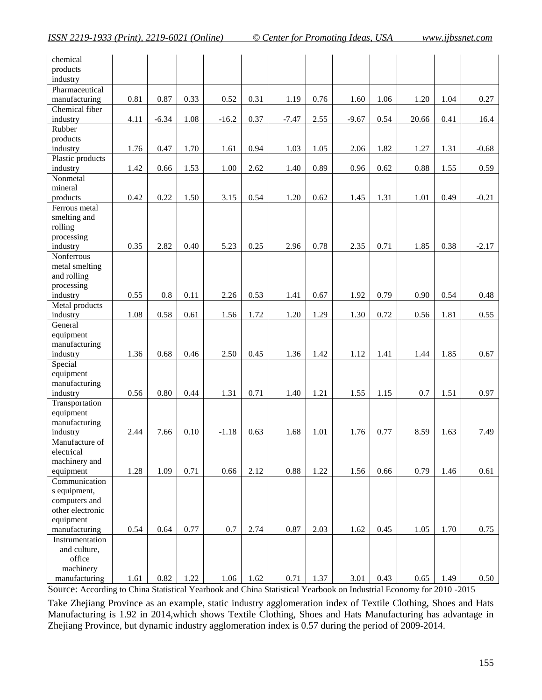| chemical         |      |         |      |         |      |         |      |         |      |       |      |         |
|------------------|------|---------|------|---------|------|---------|------|---------|------|-------|------|---------|
| products         |      |         |      |         |      |         |      |         |      |       |      |         |
| industry         |      |         |      |         |      |         |      |         |      |       |      |         |
| Pharmaceutical   | 0.81 | 0.87    | 0.33 | 0.52    | 0.31 |         | 0.76 |         | 1.06 |       |      |         |
| manufacturing    |      |         |      |         |      | 1.19    |      | 1.60    |      | 1.20  | 1.04 | 0.27    |
| Chemical fiber   |      |         |      |         |      |         |      |         |      |       |      |         |
| industry         | 4.11 | $-6.34$ | 1.08 | $-16.2$ | 0.37 | $-7.47$ | 2.55 | $-9.67$ | 0.54 | 20.66 | 0.41 | 16.4    |
| Rubber           |      |         |      |         |      |         |      |         |      |       |      |         |
| products         |      |         |      |         |      |         |      |         |      |       |      |         |
| industry         | 1.76 | 0.47    | 1.70 | 1.61    | 0.94 | 1.03    | 1.05 | 2.06    | 1.82 | 1.27  | 1.31 | $-0.68$ |
| Plastic products |      |         |      |         |      |         |      |         |      |       |      |         |
| industry         | 1.42 | 0.66    | 1.53 | 1.00    | 2.62 | 1.40    | 0.89 | 0.96    | 0.62 | 0.88  | 1.55 | 0.59    |
| Nonmetal         |      |         |      |         |      |         |      |         |      |       |      |         |
| mineral          |      |         |      |         |      |         |      |         |      |       |      |         |
| products         | 0.42 | 0.22    | 1.50 | 3.15    | 0.54 | 1.20    | 0.62 | 1.45    | 1.31 | 1.01  | 0.49 | $-0.21$ |
| Ferrous metal    |      |         |      |         |      |         |      |         |      |       |      |         |
| smelting and     |      |         |      |         |      |         |      |         |      |       |      |         |
| rolling          |      |         |      |         |      |         |      |         |      |       |      |         |
| processing       |      |         |      |         |      |         |      |         |      |       |      |         |
| industry         | 0.35 | 2.82    | 0.40 | 5.23    | 0.25 | 2.96    | 0.78 | 2.35    | 0.71 | 1.85  | 0.38 | $-2.17$ |
| Nonferrous       |      |         |      |         |      |         |      |         |      |       |      |         |
| metal smelting   |      |         |      |         |      |         |      |         |      |       |      |         |
| and rolling      |      |         |      |         |      |         |      |         |      |       |      |         |
| processing       |      |         |      |         |      |         |      |         |      |       |      |         |
| industry         | 0.55 | $0.8\,$ | 0.11 | 2.26    | 0.53 | 1.41    | 0.67 | 1.92    | 0.79 | 0.90  | 0.54 | 0.48    |
| Metal products   |      |         |      |         |      |         |      |         |      |       |      |         |
| industry         | 1.08 | 0.58    | 0.61 | 1.56    | 1.72 | 1.20    | 1.29 | 1.30    | 0.72 | 0.56  | 1.81 | 0.55    |
| General          |      |         |      |         |      |         |      |         |      |       |      |         |
| equipment        |      |         |      |         |      |         |      |         |      |       |      |         |
| manufacturing    |      |         |      |         |      |         |      |         |      |       |      |         |
| industry         | 1.36 | 0.68    | 0.46 | 2.50    | 0.45 | 1.36    | 1.42 | 1.12    | 1.41 | 1.44  | 1.85 | 0.67    |
| Special          |      |         |      |         |      |         |      |         |      |       |      |         |
| equipment        |      |         |      |         |      |         |      |         |      |       |      |         |
| manufacturing    |      |         |      |         |      |         |      |         |      |       |      |         |
| industry         | 0.56 | 0.80    | 0.44 | 1.31    | 0.71 | 1.40    | 1.21 | 1.55    | 1.15 | 0.7   | 1.51 | 0.97    |
| Transportation   |      |         |      |         |      |         |      |         |      |       |      |         |
| equipment        |      |         |      |         |      |         |      |         |      |       |      |         |
| manufacturing    |      |         |      |         |      |         |      |         |      |       |      |         |
| industry         | 2.44 | 7.66    | 0.10 | $-1.18$ | 0.63 | 1.68    | 1.01 | 1.76    | 0.77 | 8.59  | 1.63 | 7.49    |
| Manufacture of   |      |         |      |         |      |         |      |         |      |       |      |         |
| electrical       |      |         |      |         |      |         |      |         |      |       |      |         |
| machinery and    |      |         |      |         |      |         |      |         |      |       |      |         |
| equipment        | 1.28 | 1.09    | 0.71 | 0.66    | 2.12 | 0.88    | 1.22 | 1.56    | 0.66 | 0.79  | 1.46 | 0.61    |
| Communication    |      |         |      |         |      |         |      |         |      |       |      |         |
| s equipment,     |      |         |      |         |      |         |      |         |      |       |      |         |
| computers and    |      |         |      |         |      |         |      |         |      |       |      |         |
| other electronic |      |         |      |         |      |         |      |         |      |       |      |         |
| equipment        |      |         |      |         |      |         |      |         |      |       |      |         |
| manufacturing    | 0.54 | 0.64    | 0.77 | 0.7     | 2.74 | 0.87    | 2.03 | 1.62    | 0.45 | 1.05  | 1.70 | 0.75    |
| Instrumentation  |      |         |      |         |      |         |      |         |      |       |      |         |
| and culture,     |      |         |      |         |      |         |      |         |      |       |      |         |
| office           |      |         |      |         |      |         |      |         |      |       |      |         |
| machinery        |      |         |      |         |      |         |      |         |      |       |      |         |
| manufacturing    | 1.61 | 0.82    | 1.22 | 1.06    | 1.62 | 0.71    | 1.37 | 3.01    | 0.43 | 0.65  | 1.49 | 0.50    |

Source: According to China Statistical Yearbook and China Statistical Yearbook on Industrial Economy for 2010 -2015

Take Zhejiang Province as an example, static industry agglomeration index of Textile Clothing, Shoes and Hats Manufacturing is 1.92 in 2014,which shows Textile Clothing, Shoes and Hats Manufacturing has advantage in Zhejiang Province, but dynamic industry agglomeration index is 0.57 during the period of 2009-2014.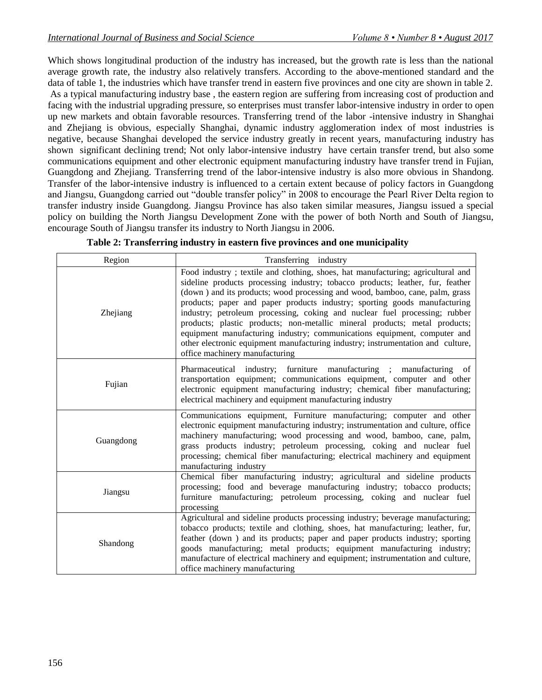Which shows longitudinal production of the industry has increased, but the growth rate is less than the national average growth rate, the industry also relatively transfers. According to the above-mentioned standard and the data of table 1, the industries which have transfer trend in eastern five provinces and one city are shown in table 2. As a typical manufacturing industry base , the eastern region are suffering from increasing cost of production and facing with the industrial upgrading pressure, so enterprises must transfer labor-intensive industry in order to open up new markets and obtain favorable resources. Transferring trend of the labor -intensive industry in Shanghai and Zhejiang is obvious, especially Shanghai, dynamic industry agglomeration index of most industries is negative, because Shanghai developed the service industry greatly in recent years, manufacturing industry has shown significant declining trend; Not only labor-intensive industry have certain transfer trend, but also some communications equipment and other electronic equipment manufacturing industry have transfer trend in Fujian, Guangdong and Zhejiang. Transferring trend of the labor-intensive industry is also more obvious in Shandong. Transfer of the labor-intensive industry is influenced to a certain extent because of policy factors in Guangdong and Jiangsu, Guangdong carried out "double transfer policy" in 2008 to encourage the Pearl River Delta region to transfer industry inside Guangdong. Jiangsu Province has also taken similar measures, Jiangsu issued a special policy on building the North Jiangsu Development Zone with the power of both North and South of Jiangsu, encourage South of Jiangsu transfer its industry to North Jiangsu in 2006.

| Region    | Transferring industry                                                                                                                                                                                                                                                                                                                                                                                                                                                                                                                                                                                                                                                                       |
|-----------|---------------------------------------------------------------------------------------------------------------------------------------------------------------------------------------------------------------------------------------------------------------------------------------------------------------------------------------------------------------------------------------------------------------------------------------------------------------------------------------------------------------------------------------------------------------------------------------------------------------------------------------------------------------------------------------------|
| Zhejiang  | Food industry; textile and clothing, shoes, hat manufacturing; agricultural and<br>sideline products processing industry; tobacco products; leather, fur, feather<br>(down) and its products; wood processing and wood, bamboo, cane, palm, grass<br>products; paper and paper products industry; sporting goods manufacturing<br>industry; petroleum processing, coking and nuclear fuel processing; rubber<br>products; plastic products; non-metallic mineral products; metal products;<br>equipment manufacturing industry; communications equipment, computer and<br>other electronic equipment manufacturing industry; instrumentation and culture,<br>office machinery manufacturing |
| Fujian    | Pharmaceutical industry; furniture manufacturing ; manufacturing of<br>transportation equipment; communications equipment, computer and other<br>electronic equipment manufacturing industry; chemical fiber manufacturing;<br>electrical machinery and equipment manufacturing industry                                                                                                                                                                                                                                                                                                                                                                                                    |
| Guangdong | Communications equipment, Furniture manufacturing; computer and other<br>electronic equipment manufacturing industry; instrumentation and culture, office<br>machinery manufacturing; wood processing and wood, bamboo, cane, palm,<br>grass products industry; petroleum processing, coking and nuclear fuel<br>processing; chemical fiber manufacturing; electrical machinery and equipment<br>manufacturing industry                                                                                                                                                                                                                                                                     |
| Jiangsu   | Chemical fiber manufacturing industry; agricultural and sideline products<br>processing; food and beverage manufacturing industry; tobacco products;<br>furniture manufacturing; petroleum processing, coking and nuclear fuel<br>processing                                                                                                                                                                                                                                                                                                                                                                                                                                                |
| Shandong  | Agricultural and sideline products processing industry; beverage manufacturing;<br>tobacco products; textile and clothing, shoes, hat manufacturing; leather, fur,<br>feather (down) and its products; paper and paper products industry; sporting<br>goods manufacturing; metal products; equipment manufacturing industry;<br>manufacture of electrical machinery and equipment; instrumentation and culture,<br>office machinery manufacturing                                                                                                                                                                                                                                           |

|  |  | Table 2: Transferring industry in eastern five provinces and one municipality |
|--|--|-------------------------------------------------------------------------------|
|  |  |                                                                               |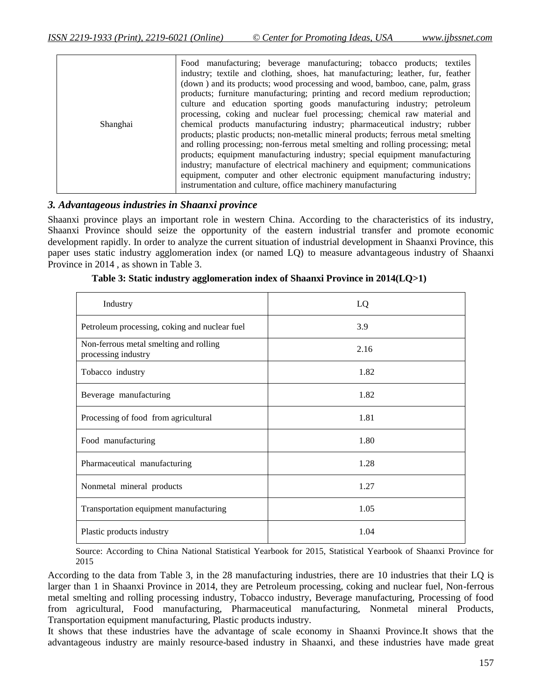| Shanghai | Food manufacturing; beverage manufacturing; tobacco products; textiles<br>industry; textile and clothing, shoes, hat manufacturing; leather, fur, feather<br>(down) and its products; wood processing and wood, bamboo, cane, palm, grass<br>products; furniture manufacturing; printing and record medium reproduction;<br>culture and education sporting goods manufacturing industry; petroleum<br>processing, coking and nuclear fuel processing; chemical raw material and<br>chemical products manufacturing industry; pharmaceutical industry; rubber<br>products; plastic products; non-metallic mineral products; ferrous metal smelling<br>and rolling processing; non-ferrous metal smelting and rolling processing; metal<br>products; equipment manufacturing industry; special equipment manufacturing |
|----------|----------------------------------------------------------------------------------------------------------------------------------------------------------------------------------------------------------------------------------------------------------------------------------------------------------------------------------------------------------------------------------------------------------------------------------------------------------------------------------------------------------------------------------------------------------------------------------------------------------------------------------------------------------------------------------------------------------------------------------------------------------------------------------------------------------------------|
|          | industry; manufacture of electrical machinery and equipment; communications<br>equipment, computer and other electronic equipment manufacturing industry;                                                                                                                                                                                                                                                                                                                                                                                                                                                                                                                                                                                                                                                            |
|          | instrumentation and culture, office machinery manufacturing                                                                                                                                                                                                                                                                                                                                                                                                                                                                                                                                                                                                                                                                                                                                                          |

#### *3. Advantageous industries in Shaanxi province*

Shaanxi province plays an important role in western China. According to the characteristics of its industry, Shaanxi Province should seize the opportunity of the eastern industrial transfer and promote economic development rapidly. In order to analyze the current situation of industrial development in Shaanxi Province, this paper uses static industry agglomeration index (or named LQ) to measure advantageous industry of Shaanxi Province in 2014 , as shown in Table 3.

| Industry                                                      | LQ   |
|---------------------------------------------------------------|------|
| Petroleum processing, coking and nuclear fuel                 | 3.9  |
| Non-ferrous metal smelting and rolling<br>processing industry | 2.16 |
| Tobacco industry                                              | 1.82 |
| Beverage manufacturing                                        | 1.82 |
| Processing of food from agricultural                          | 1.81 |
| Food manufacturing                                            | 1.80 |
| Pharmaceutical manufacturing                                  | 1.28 |
| Nonmetal mineral products                                     | 1.27 |
| Transportation equipment manufacturing                        | 1.05 |
| Plastic products industry                                     | 1.04 |

|  | Table 3: Static industry agglomeration index of Shaanxi Province in 2014(LQ>1) |  |  |  |
|--|--------------------------------------------------------------------------------|--|--|--|
|  |                                                                                |  |  |  |

Source: According to China National Statistical Yearbook for 2015, Statistical Yearbook of Shaanxi Province for 2015

According to the data from Table 3, in the 28 manufacturing industries, there are 10 industries that their LQ is larger than 1 in Shaanxi Province in 2014, they are Petroleum processing, coking and nuclear fuel, Non-ferrous metal smelting and rolling processing industry, Tobacco industry, Beverage manufacturing, Processing of food from agricultural, Food manufacturing, Pharmaceutical manufacturing, Nonmetal mineral Products, Transportation equipment manufacturing, Plastic products industry.

It shows that these industries have the advantage of scale economy in Shaanxi Province.It shows that the advantageous industry are mainly resource-based industry in Shaanxi, and these industries have made great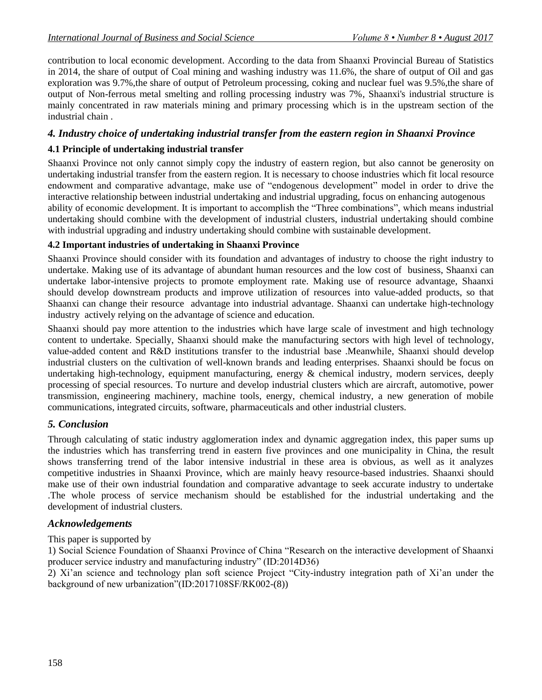contribution to local economic development. According to the data from Shaanxi Provincial Bureau of Statistics in 2014, the share of output of Coal mining and washing industry was 11.6%, the share of output of Oil and gas exploration was 9.7%,the share of output of Petroleum processing, coking and nuclear fuel was 9.5%,the share of output of Non-ferrous metal smelting and rolling processing industry was 7%, Shaanxi's industrial structure is mainly concentrated in raw materials mining and primary processing which is in the upstream section of the industrial chain .

## *4. Industry choice of undertaking industrial transfer from the eastern region in Shaanxi Province*

## **4.1 Principle of undertaking industrial transfer**

Shaanxi Province not only cannot simply copy the industry of eastern region, but also cannot be generosity on undertaking industrial transfer from the eastern region. It is necessary to choose industries which fit local resource endowment and comparative advantage, make use of "endogenous development" model in order to drive the interactive relationship between industrial undertaking and industrial upgrading, focus on enhancing autogenous ability of economic development. It is important to accomplish the "Three combinations", which means industrial undertaking should combine with the development of industrial clusters, industrial undertaking should combine with industrial upgrading and industry undertaking should combine with sustainable development.

### **4.2 Important industries of undertaking in Shaanxi Province**

Shaanxi Province should consider with its foundation and advantages of industry to choose the right industry to undertake. Making use of its advantage of abundant human resources and the low cost of business, Shaanxi can undertake labor-intensive projects to promote employment rate. Making use of resource advantage, Shaanxi should develop downstream products and improve utilization of resources into value-added products, so that Shaanxi can change their resource advantage into industrial advantage. Shaanxi can undertake high-technology industry actively relying on the advantage of science and education.

Shaanxi should pay more attention to the industries which have large scale of investment and high technology content to undertake. Specially, Shaanxi should make the manufacturing sectors with high level of technology, value-added content and R&D institutions transfer to the industrial base .Meanwhile, Shaanxi should develop industrial clusters on the cultivation of well-known brands and leading enterprises. Shaanxi should be focus on undertaking high-technology, equipment manufacturing, energy  $\&$  chemical industry, modern services, deeply processing of special resources. To nurture and develop industrial clusters which are aircraft, automotive, power transmission, engineering machinery, machine tools, energy, chemical industry, a new generation of mobile communications, integrated circuits, software, pharmaceuticals and other industrial clusters.

## *5. Conclusion*

Through calculating of static industry agglomeration index and dynamic aggregation index, this paper sums up the industries which has transferring trend in eastern five provinces and one municipality in China, the result shows transferring trend of the labor intensive industrial in these area is obvious, as well as it analyzes competitive industries in Shaanxi Province, which are mainly heavy resource-based industries. Shaanxi should make use of their own industrial foundation and comparative advantage to seek accurate industry to undertake .The whole process of service mechanism should be established for the industrial undertaking and the development of industrial clusters.

#### *Acknowledgements*

This paper is supported by

1) Social Science Foundation of Shaanxi Province of China "Research on the interactive development of Shaanxi producer service industry and manufacturing industry" (ID:2014D36)

2) Xi'an science and technology plan soft science Project "City-industry integration path of Xi'an under the background of new urbanization"(ID:2017108SF/RK002-(8))